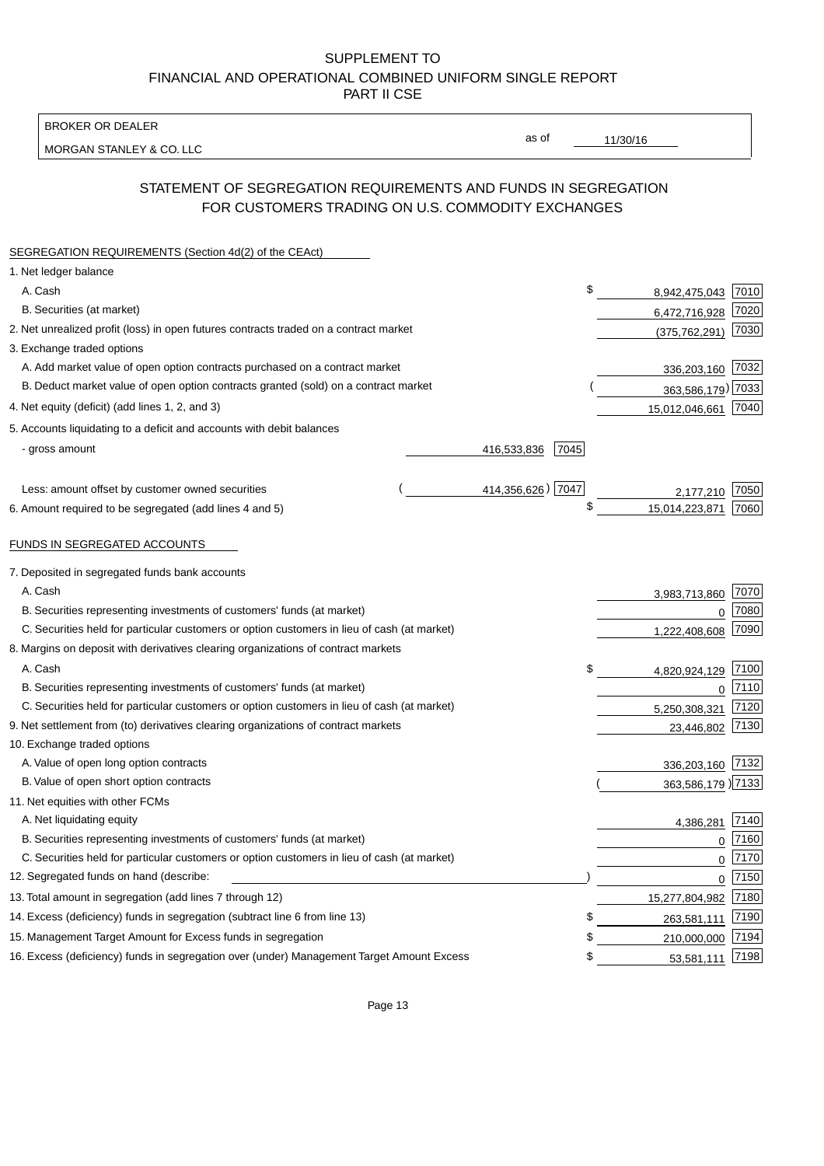BROKER OR DEALER

MORGAN STANLEY & CO. LLC

11/30/16

as of

# STATEMENT OF SEGREGATION REQUIREMENTS AND FUNDS IN SEGREGATION FOR CUSTOMERS TRADING ON U.S. COMMODITY EXCHANGES

| SEGREGATION REQUIREMENTS (Section 4d(2) of the CEAct)                                       |                   |      |                     |          |
|---------------------------------------------------------------------------------------------|-------------------|------|---------------------|----------|
| 1. Net ledger balance                                                                       |                   |      |                     |          |
| A. Cash                                                                                     |                   | \$   | 8,942,475,043 7010  |          |
| B. Securities (at market)                                                                   |                   |      | 6,472,716,928 7020  |          |
| 2. Net unrealized profit (loss) in open futures contracts traded on a contract market       |                   |      | (375, 762, 291)     | 7030     |
| 3. Exchange traded options                                                                  |                   |      |                     |          |
| A. Add market value of open option contracts purchased on a contract market                 |                   |      | 336,203,160 7032    |          |
| B. Deduct market value of open option contracts granted (sold) on a contract market         |                   |      | 363,586,179) 7033   |          |
| 4. Net equity (deficit) (add lines 1, 2, and 3)                                             |                   |      | 15,012,046,661 7040 |          |
| 5. Accounts liquidating to a deficit and accounts with debit balances                       |                   |      |                     |          |
| - gross amount                                                                              | 416,533,836       | 7045 |                     |          |
|                                                                                             |                   |      |                     |          |
| Less: amount offset by customer owned securities                                            | 414,356,626) 7047 |      | 2,177,210           | 7050     |
| 6. Amount required to be segregated (add lines 4 and 5)                                     |                   | \$   | 15,014,223,871      | 7060     |
|                                                                                             |                   |      |                     |          |
| FUNDS IN SEGREGATED ACCOUNTS                                                                |                   |      |                     |          |
| 7. Deposited in segregated funds bank accounts                                              |                   |      |                     |          |
| A. Cash                                                                                     |                   |      | 3,983,713,860       | 7070     |
| B. Securities representing investments of customers' funds (at market)                      |                   |      | $\mathbf 0$         | 7080     |
| C. Securities held for particular customers or option customers in lieu of cash (at market) |                   |      | 1,222,408,608       | 7090     |
| 8. Margins on deposit with derivatives clearing organizations of contract markets           |                   |      |                     |          |
| A. Cash                                                                                     |                   | \$   | 4,820,924,129       | 7100     |
| B. Securities representing investments of customers' funds (at market)                      |                   |      | $\mathbf 0$         | 7110     |
| C. Securities held for particular customers or option customers in lieu of cash (at market) |                   |      | 5,250,308,321       | 7120     |
| 9. Net settlement from (to) derivatives clearing organizations of contract markets          |                   |      | 23,446,802          | 7130     |
| 10. Exchange traded options                                                                 |                   |      |                     |          |
| A. Value of open long option contracts                                                      |                   |      | 336,203,160 7132    |          |
| B. Value of open short option contracts                                                     |                   |      | 363,586,179 7133    |          |
| 11. Net equities with other FCMs                                                            |                   |      |                     |          |
| A. Net liquidating equity                                                                   |                   |      | 4,386,281           | 7140     |
| B. Securities representing investments of customers' funds (at market)                      |                   |      | $\mathbf 0$         | 7160     |
| C. Securities held for particular customers or option customers in lieu of cash (at market) |                   |      | 0                   | 7170     |
| 12. Segregated funds on hand (describe:                                                     |                   |      |                     | $0$ 7150 |
| 13. Total amount in segregation (add lines 7 through 12)                                    |                   |      | 15,277,804,982 7180 |          |
| 14. Excess (deficiency) funds in segregation (subtract line 6 from line 13)                 |                   | \$   | 263,581,111         | 7190     |
| 15. Management Target Amount for Excess funds in segregation                                |                   | \$   | 210,000,000         | 7194     |
| 16. Excess (deficiency) funds in segregation over (under) Management Target Amount Excess   |                   | \$   | 53,581,111          | 7198     |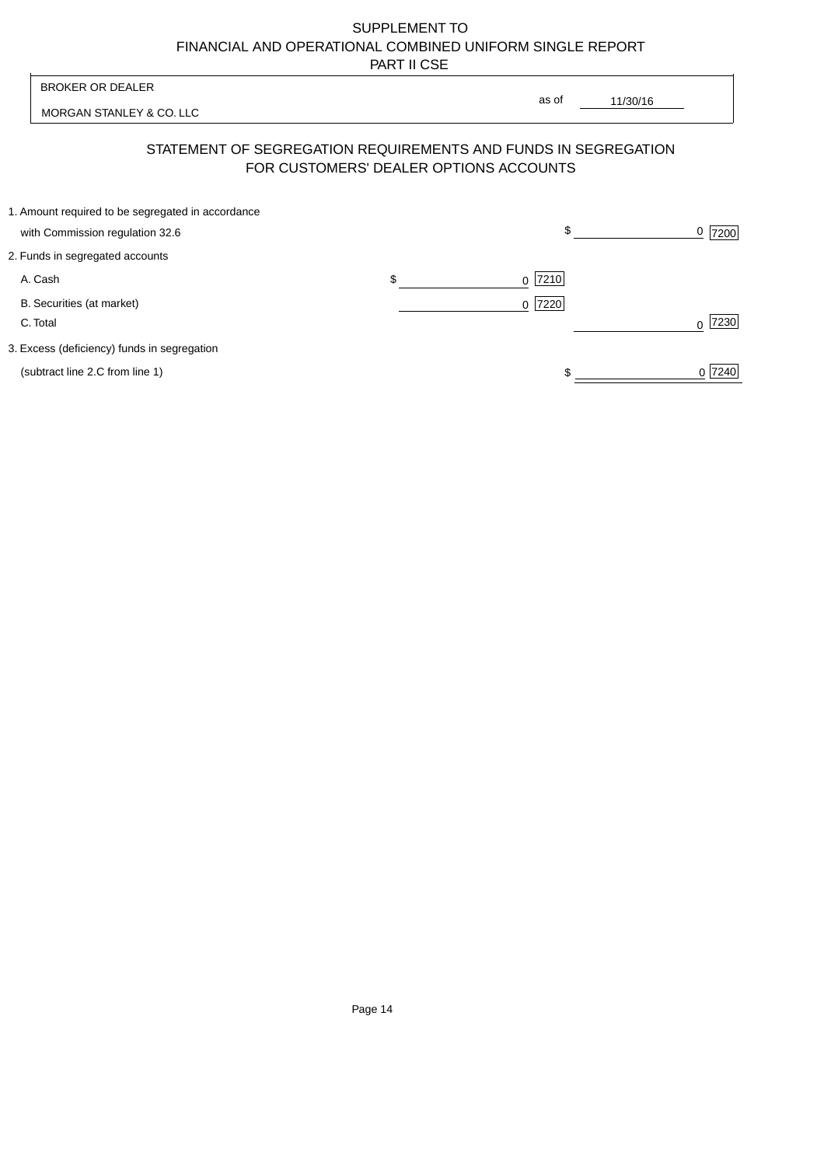| <b>BROKER OR DEALER</b>                           |                                        | as of                                                          |           |
|---------------------------------------------------|----------------------------------------|----------------------------------------------------------------|-----------|
| MORGAN STANLEY & CO. LLC                          |                                        | 11/30/16                                                       |           |
|                                                   | FOR CUSTOMERS' DEALER OPTIONS ACCOUNTS | STATEMENT OF SEGREGATION REQUIREMENTS AND FUNDS IN SEGREGATION |           |
| 1. Amount required to be segregated in accordance |                                        |                                                                |           |
| with Commission regulation 32.6                   |                                        | \$                                                             | $0$  7200 |
| 2. Funds in segregated accounts                   |                                        |                                                                |           |
| A. Cash                                           | \$                                     | $0$  7210                                                      |           |
| B. Securities (at market)                         |                                        | $0$  7220                                                      |           |
| C. Total                                          |                                        |                                                                | 7230      |
| 3. Excess (deficiency) funds in segregation       |                                        |                                                                |           |
| (subtract line 2.C from line 1)                   |                                        |                                                                | 0 7240    |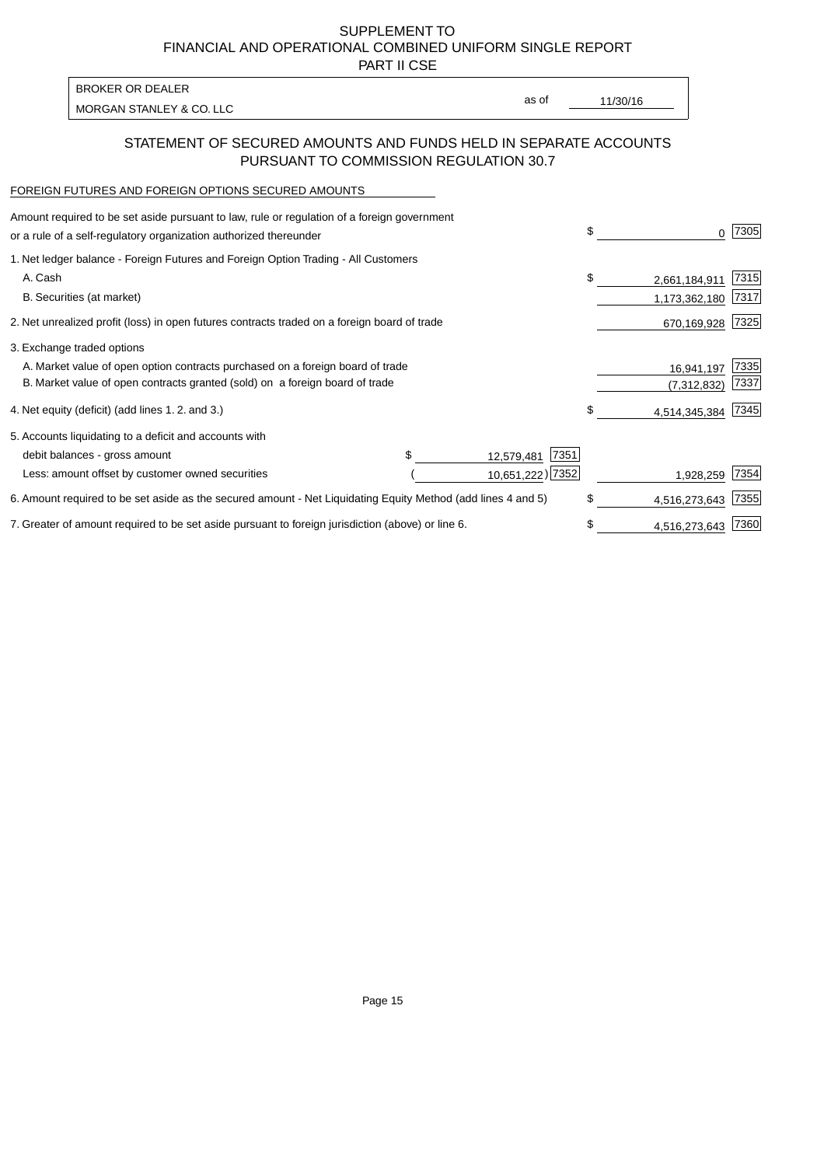PART II CSE

| BROKER OR DEALER         |       |          |
|--------------------------|-------|----------|
| MORGAN STANLEY & CO. LLC | as of | 11/30/16 |

## STATEMENT OF SECURED AMOUNTS AND FUNDS HELD IN SEPARATE ACCOUNTS PURSUANT TO COMMISSION REGULATION 30.7

#### FOREIGN FUTURES AND FOREIGN OPTIONS SECURED AMOUNTS

| Amount required to be set aside pursuant to law, rule or regulation of a foreign government<br>or a rule of a self-regulatory organization authorized thereunder |  |                    | \$<br>0                  | 7305 |
|------------------------------------------------------------------------------------------------------------------------------------------------------------------|--|--------------------|--------------------------|------|
| 1. Net ledger balance - Foreign Futures and Foreign Option Trading - All Customers                                                                               |  |                    |                          |      |
| A. Cash                                                                                                                                                          |  |                    | \$<br>2,661,184,911      | 7315 |
| B. Securities (at market)                                                                                                                                        |  |                    | 1,173,362,180            | 7317 |
| 2. Net unrealized profit (loss) in open futures contracts traded on a foreign board of trade                                                                     |  |                    | 670,169,928              | 7325 |
| 3. Exchange traded options                                                                                                                                       |  |                    |                          |      |
| A. Market value of open option contracts purchased on a foreign board of trade                                                                                   |  |                    | 16,941,197               | 7335 |
| B. Market value of open contracts granted (sold) on a foreign board of trade                                                                                     |  |                    | (7, 312, 832)            | 7337 |
| 4. Net equity (deficit) (add lines 1.2. and 3.)                                                                                                                  |  |                    | \$<br>4,514,345,384 7345 |      |
| 5. Accounts liquidating to a deficit and accounts with                                                                                                           |  |                    |                          |      |
| debit balances - gross amount                                                                                                                                    |  | 7351<br>12,579,481 |                          |      |
| Less: amount offset by customer owned securities                                                                                                                 |  | 10,651,222) 7352   | 1,928,259                | 7354 |
| 6. Amount required to be set aside as the secured amount - Net Liquidating Equity Method (add lines 4 and 5)                                                     |  |                    | \$<br>4,516,273,643      | 7355 |
| 7. Greater of amount required to be set aside pursuant to foreign jurisdiction (above) or line 6.                                                                |  |                    | \$<br>4,516,273,643      | 7360 |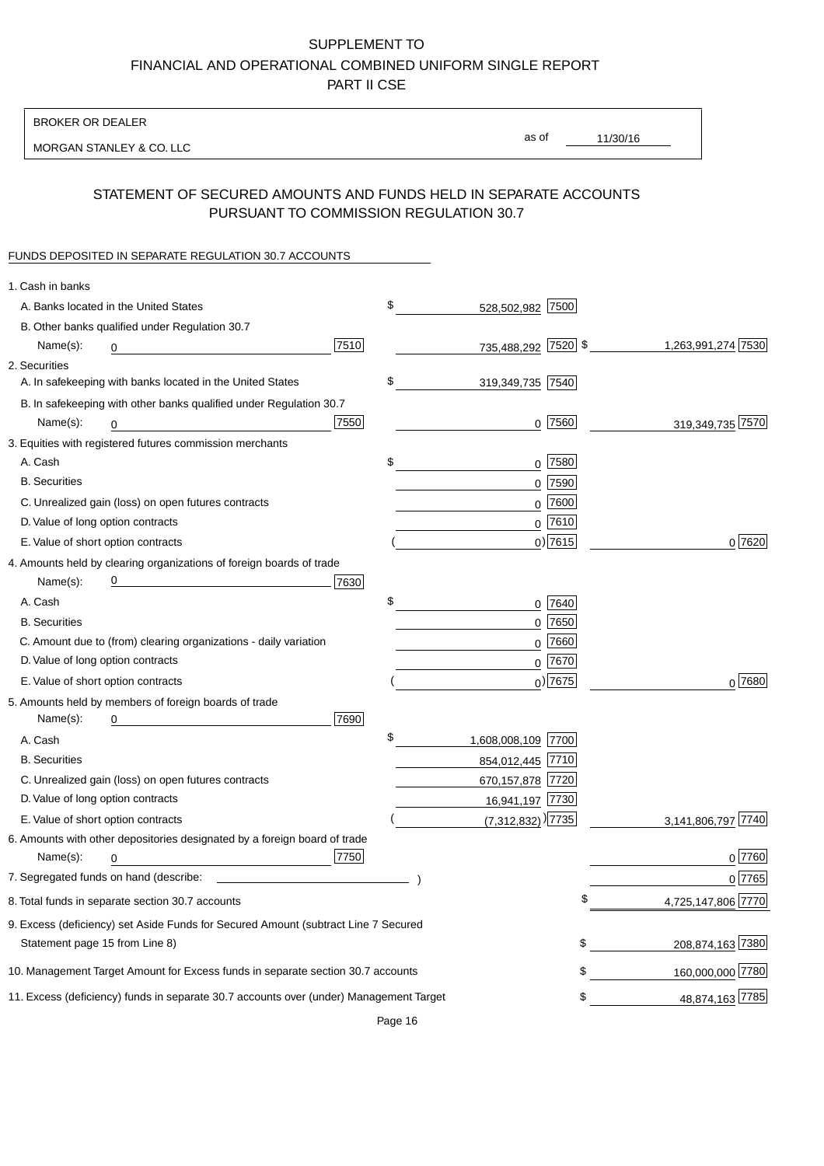BROKER OR DEALER

MORGAN STANLEY & CO. LLC

11/30/16 as of

# STATEMENT OF SECURED AMOUNTS AND FUNDS HELD IN SEPARATE ACCOUNTS PURSUANT TO COMMISSION REGULATION 30.7

### FUNDS DEPOSITED IN SEPARATE REGULATION 30.7 ACCOUNTS

| 1. Cash in banks                      |                                                                                        |      |                                   |            |                    |
|---------------------------------------|----------------------------------------------------------------------------------------|------|-----------------------------------|------------|--------------------|
| A. Banks located in the United States |                                                                                        |      | \$<br>528,502,982 7500            |            |                    |
|                                       | B. Other banks qualified under Regulation 30.7                                         |      |                                   |            |                    |
| Name(s):<br>0                         |                                                                                        | 7510 | 735,488,292 7520 \$               |            | 1,263,991,274 7530 |
| 2. Securities                         |                                                                                        |      |                                   |            |                    |
|                                       | A. In safekeeping with banks located in the United States                              |      | \$<br>319,349,735 7540            |            |                    |
|                                       | B. In safekeeping with other banks qualified under Regulation 30.7                     |      |                                   |            |                    |
| Name(s):<br>0                         |                                                                                        | 7550 |                                   | $0$ 7560   | 319,349,735 7570   |
|                                       | 3. Equities with registered futures commission merchants                               |      |                                   |            |                    |
| A. Cash                               |                                                                                        |      | \$                                | $0$ 7580   |                    |
| <b>B.</b> Securities                  |                                                                                        |      |                                   | $0$ 7590   |                    |
|                                       | C. Unrealized gain (loss) on open futures contracts                                    |      |                                   | $0$ 7600   |                    |
| D. Value of long option contracts     |                                                                                        |      |                                   | $0$ 7610   |                    |
| E. Value of short option contracts    |                                                                                        |      |                                   | $0$ ) 7615 | 0 7620             |
|                                       | 4. Amounts held by clearing organizations of foreign boards of trade                   |      |                                   |            |                    |
| Name(s):                              | <u> 1980 - Johann Barn, mars an t-Amerikaansk kommunister (</u>                        | 7630 |                                   |            |                    |
| A. Cash                               |                                                                                        |      | \$                                | 0 7640     |                    |
| <b>B.</b> Securities                  |                                                                                        |      |                                   | $0$ 7650   |                    |
|                                       | C. Amount due to (from) clearing organizations - daily variation                       |      |                                   | $0$ 7660   |                    |
| D. Value of long option contracts     |                                                                                        |      |                                   | $0^{7670}$ |                    |
| E. Value of short option contracts    |                                                                                        |      |                                   | $0$ ) 7675 | $0^{7680}$         |
|                                       | 5. Amounts held by members of foreign boards of trade                                  |      |                                   |            |                    |
| Name(s):<br>0                         |                                                                                        | 7690 |                                   |            |                    |
| A. Cash                               |                                                                                        |      | \$<br>1,608,008,109 7700          |            |                    |
| <b>B.</b> Securities                  |                                                                                        |      | 854,012,445 7710                  |            |                    |
|                                       | C. Unrealized gain (loss) on open futures contracts                                    |      | 670, 157, 878 7720                |            |                    |
| D. Value of long option contracts     |                                                                                        |      | 16,941,197 7730                   |            |                    |
| E. Value of short option contracts    |                                                                                        |      | $(7,312,832)$ <sup>)</sup> [7735] |            | 3,141,806,797 7740 |
|                                       | 6. Amounts with other depositories designated by a foreign board of trade              |      |                                   |            |                    |
| Name(s):<br>0                         |                                                                                        | 7750 |                                   |            | 0 7760             |
|                                       |                                                                                        |      |                                   |            | 0 7765             |
|                                       | 8. Total funds in separate section 30.7 accounts                                       |      |                                   | \$         | 4,725,147,806 7770 |
|                                       | 9. Excess (deficiency) set Aside Funds for Secured Amount (subtract Line 7 Secured     |      |                                   |            |                    |
| Statement page 15 from Line 8)        |                                                                                        |      |                                   | \$         | 208,874,163 7380   |
|                                       | 10. Management Target Amount for Excess funds in separate section 30.7 accounts        |      |                                   | \$         | 160,000,000 7780   |
|                                       | 11. Excess (deficiency) funds in separate 30.7 accounts over (under) Management Target |      |                                   | \$         | 48,874,163 7785    |